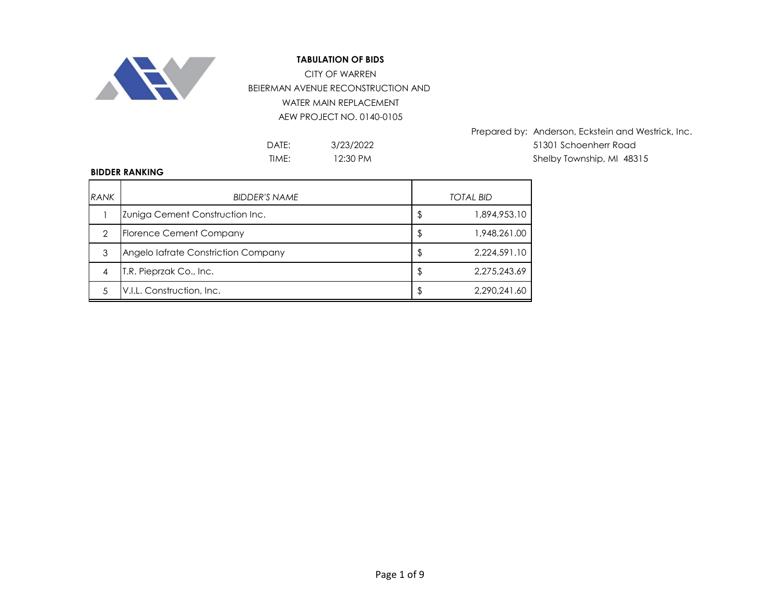

BEIERMAN AVENUE RECONSTRUCTION AND WATER MAIN REPLACEMENT AEW PROJECT NO. 0140-0105 CITY OF WARREN

> 3/23/2022 12:30 PM

Prepared by: Anderson, Eckstein and Westrick, Inc. DATE: 51301 Schoenherr Road TIME: I2:30 PM Shelby Township, MI 48315

#### **BIDDER RANKING**

| <b>RANK</b> | <b>BIDDER'S NAME</b>                | <b>TOTAL BID</b>   |
|-------------|-------------------------------------|--------------------|
|             | Zuniga Cement Construction Inc.     | \$<br>1,894,953.10 |
| っ           | <b>Florence Cement Company</b>      | \$<br>1,948,261.00 |
| 3           | Angelo lafrate Constriction Company | \$<br>2,224,591.10 |
|             | T.R. Pieprzak Co., Inc.             | \$<br>2,275,243.69 |
|             | V.I.L. Construction, Inc.           | 2.290.241.60       |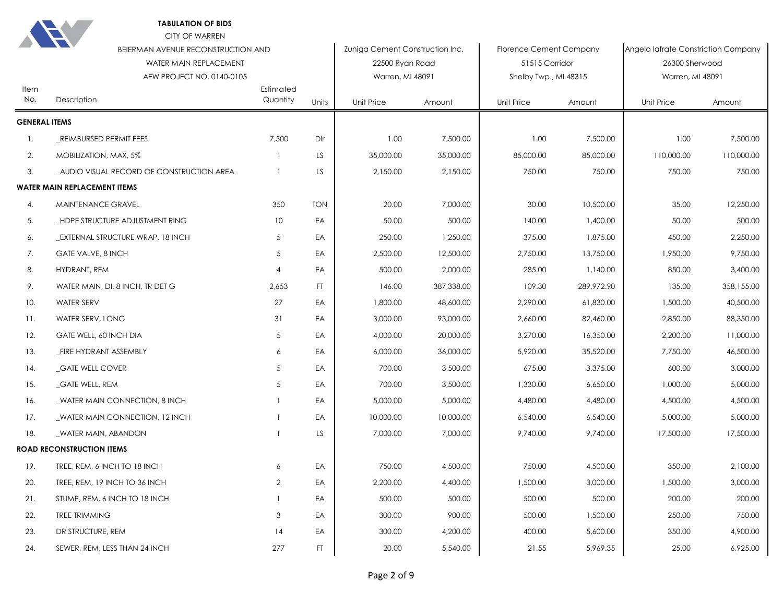| Item                 | BEIERMAN AVENUE RECONSTRUCTION AND<br>WATER MAIN REPLACEMENT<br>AEW PROJECT NO. 0140-0105 | Estimated      |            | Zuniga Cement Construction Inc.<br>22500 Ryan Road<br>Warren, MI 48091 |            | <b>Florence Cement Company</b><br>51515 Corridor<br>Shelby Twp., MI 48315 |            | Angelo lafrate Constriction Company<br>26300 Sherwood<br>Warren, MI 48091 |            |
|----------------------|-------------------------------------------------------------------------------------------|----------------|------------|------------------------------------------------------------------------|------------|---------------------------------------------------------------------------|------------|---------------------------------------------------------------------------|------------|
| No.                  | Description                                                                               | Quantity       | Units      | Unit Price                                                             | Amount     | Unit Price                                                                | Amount     | <b>Unit Price</b>                                                         | Amount     |
| <b>GENERAL ITEMS</b> |                                                                                           |                |            |                                                                        |            |                                                                           |            |                                                                           |            |
| $\mathbf{1}$ .       | REIMBURSED PERMIT FEES                                                                    | 7,500          | Dlr        | 1.00                                                                   | 7,500.00   | 1.00                                                                      | 7,500.00   | 1.00                                                                      | 7,500.00   |
| 2.                   | MOBILIZATION, MAX, 5%                                                                     |                | LS         | 35,000.00                                                              | 35,000.00  | 85,000.00                                                                 | 85,000.00  | 110,000.00                                                                | 110,000.00 |
| 3.                   | AUDIO VISUAL RECORD OF CONSTRUCTION AREA                                                  |                | LS         | 2,150.00                                                               | 2,150.00   | 750.00                                                                    | 750.00     | 750.00                                                                    | 750.00     |
|                      | <b>WATER MAIN REPLACEMENT ITEMS</b>                                                       |                |            |                                                                        |            |                                                                           |            |                                                                           |            |
| 4.                   | <b>MAINTENANCE GRAVEL</b>                                                                 | 350            | <b>TON</b> | 20.00                                                                  | 7,000.00   | 30.00                                                                     | 10,500.00  | 35.00                                                                     | 12,250.00  |
| 5.                   | _HDPE STRUCTURE ADJUSTMENT RING                                                           | 10             | EA         | 50.00                                                                  | 500.00     | 140.00                                                                    | 1,400.00   | 50.00                                                                     | 500.00     |
| 6.                   | <b>EXTERNAL STRUCTURE WRAP, 18 INCH</b>                                                   | $\sqrt{5}$     | EA         | 250.00                                                                 | 1,250.00   | 375.00                                                                    | 1,875.00   | 450.00                                                                    | 2,250.00   |
| 7.                   | <b>GATE VALVE, 8 INCH</b>                                                                 | $\sqrt{5}$     | EA         | 2,500.00                                                               | 12,500.00  | 2,750.00                                                                  | 13,750.00  | 1,950.00                                                                  | 9,750.00   |
| 8.                   | HYDRANT, REM                                                                              | $\overline{4}$ | EA         | 500.00                                                                 | 2,000.00   | 285.00                                                                    | 1,140.00   | 850.00                                                                    | 3,400.00   |
| 9.                   | WATER MAIN, DI, 8 INCH, TR DET G                                                          | 2,653          | FT.        | 146.00                                                                 | 387,338.00 | 109.30                                                                    | 289,972.90 | 135.00                                                                    | 358,155.00 |
| 10.                  | <b>WATER SERV</b>                                                                         | 27             | EA         | 1,800.00                                                               | 48,600.00  | 2,290.00                                                                  | 61,830.00  | 1,500.00                                                                  | 40,500.00  |
| 11.                  | WATER SERV, LONG                                                                          | 31             | EA         | 3,000.00                                                               | 93,000.00  | 2,660.00                                                                  | 82,460.00  | 2,850.00                                                                  | 88,350.00  |
| 12.                  | GATE WELL, 60 INCH DIA                                                                    | 5              | EA         | 4,000.00                                                               | 20,000.00  | 3,270.00                                                                  | 16,350.00  | 2,200.00                                                                  | 11,000.00  |
| 13.                  | _FIRE HYDRANT ASSEMBLY                                                                    | 6              | EA         | 6,000.00                                                               | 36,000.00  | 5,920.00                                                                  | 35,520.00  | 7,750.00                                                                  | 46,500.00  |
| 14.                  | _GATE WELL COVER                                                                          | 5              | EA         | 700.00                                                                 | 3,500.00   | 675.00                                                                    | 3,375.00   | 600.00                                                                    | 3,000.00   |
| 15.                  | <b>GATE WELL, REM</b>                                                                     | 5              | EA         | 700.00                                                                 | 3,500.00   | 1,330.00                                                                  | 6,650.00   | 1,000.00                                                                  | 5,000.00   |
| 16.                  | WATER MAIN CONNECTION, 8 INCH                                                             | $\mathbf{1}$   | EA         | 5,000.00                                                               | 5,000.00   | 4,480.00                                                                  | 4,480.00   | 4,500.00                                                                  | 4,500.00   |
| 17.                  | WATER MAIN CONNECTION, 12 INCH                                                            | $\mathbf{1}$   | EA         | 10,000.00                                                              | 10,000.00  | 6,540.00                                                                  | 6,540.00   | 5,000.00                                                                  | 5,000.00   |
| 18.                  | WATER MAIN, ABANDON                                                                       | $\mathbf{1}$   | LS.        | 7,000.00                                                               | 7,000.00   | 9,740.00                                                                  | 9,740.00   | 17,500.00                                                                 | 17,500.00  |
|                      | <b>ROAD RECONSTRUCTION ITEMS</b>                                                          |                |            |                                                                        |            |                                                                           |            |                                                                           |            |
| 19.                  | TREE, REM, 6 INCH TO 18 INCH                                                              | 6              | EA         | 750.00                                                                 | 4,500.00   | 750.00                                                                    | 4,500.00   | 350.00                                                                    | 2,100.00   |
| 20.                  | TREE, REM, 19 INCH TO 36 INCH                                                             | $\mathbf{2}$   | EA         | 2,200.00                                                               | 4,400.00   | 1,500.00                                                                  | 3,000.00   | 1,500.00                                                                  | 3,000.00   |
| 21.                  | STUMP, REM, 6 INCH TO 18 INCH                                                             | $\mathbf{1}$   | EA         | 500.00                                                                 | 500.00     | 500.00                                                                    | 500.00     | 200.00                                                                    | 200.00     |
| 22.                  | <b>TREE TRIMMING</b>                                                                      | 3              | EA         | 300.00                                                                 | 900.00     | 500.00                                                                    | 1,500.00   | 250.00                                                                    | 750.00     |
| 23.                  | DR STRUCTURE, REM                                                                         | 14             | EA         | 300.00                                                                 | 4,200.00   | 400.00                                                                    | 5,600.00   | 350.00                                                                    | 4,900.00   |
| 24.                  | SEWER, REM, LESS THAN 24 INCH                                                             | 277            | FT         | 20.00                                                                  | 5,540.00   | 21.55                                                                     | 5,969.35   | 25.00                                                                     | 6,925.00   |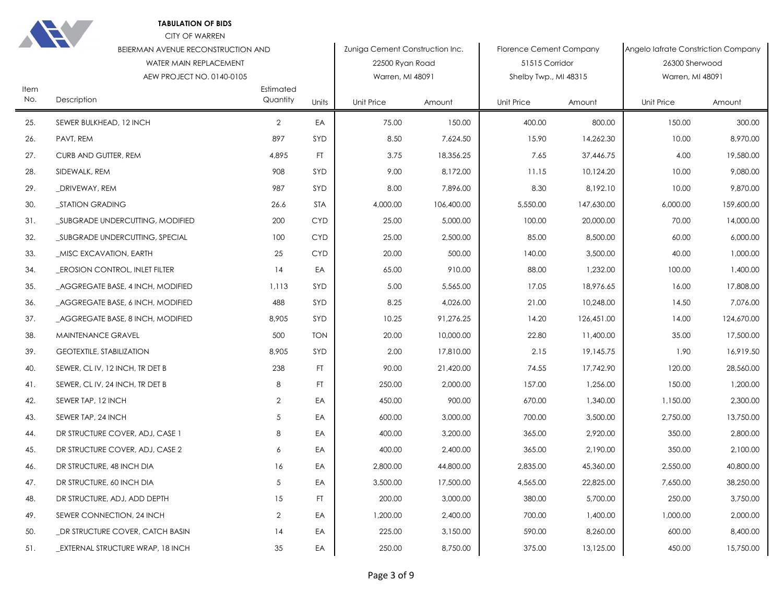

| Item | BEIERMAN AVENUE RECONSTRUCTION AND<br>WATER MAIN REPLACEMENT<br>AEW PROJECT NO. 0140-0105 | Estimated      |            | Zuniga Cement Construction Inc.<br>22500 Ryan Road<br>Warren, MI 48091 |            | Florence Cement Company<br>51515 Corridor<br>Shelby Twp., MI 48315 |            | Angelo lafrate Constriction Company<br>26300 Sherwood<br>Warren, MI 48091 |            |
|------|-------------------------------------------------------------------------------------------|----------------|------------|------------------------------------------------------------------------|------------|--------------------------------------------------------------------|------------|---------------------------------------------------------------------------|------------|
| No.  | Description                                                                               | Quantity       | Units      | <b>Unit Price</b>                                                      | Amount     | <b>Unit Price</b>                                                  | Amount     | <b>Unit Price</b>                                                         | Amount     |
| 25.  | SEWER BULKHEAD, 12 INCH                                                                   | $\overline{2}$ | EA         | 75.00                                                                  | 150.00     | 400.00                                                             | 800.00     | 150.00                                                                    | 300.00     |
| 26.  | PAVT, REM                                                                                 | 897            | SYD        | 8.50                                                                   | 7,624.50   | 15.90                                                              | 14,262.30  | 10.00                                                                     | 8,970.00   |
| 27.  | CURB AND GUTTER, REM                                                                      | 4,895          | FT.        | 3.75                                                                   | 18,356.25  | 7.65                                                               | 37,446.75  | 4.00                                                                      | 19,580.00  |
| 28.  | SIDEWALK, REM                                                                             | 908            | SYD        | 9.00                                                                   | 8,172.00   | 11.15                                                              | 10,124.20  | 10.00                                                                     | 9,080.00   |
| 29.  | DRIVEWAY, REM                                                                             | 987            | SYD        | 8.00                                                                   | 7,896.00   | 8.30                                                               | 8,192.10   | 10.00                                                                     | 9,870.00   |
| 30.  | _STATION GRADING                                                                          | 26.6           | <b>STA</b> | 4,000.00                                                               | 106,400.00 | 5,550.00                                                           | 147,630.00 | 6,000.00                                                                  | 159,600.00 |
| 31.  | _SUBGRADE UNDERCUTTING, MODIFIED                                                          | 200            | <b>CYD</b> | 25.00                                                                  | 5,000.00   | 100.00                                                             | 20,000.00  | 70.00                                                                     | 14,000.00  |
| 32.  | _SUBGRADE UNDERCUTTING, SPECIAL                                                           | 100            | <b>CYD</b> | 25.00                                                                  | 2,500.00   | 85.00                                                              | 8,500.00   | 60.00                                                                     | 6,000.00   |
| 33.  | MISC EXCAVATION, EARTH                                                                    | 25             | <b>CYD</b> | 20.00                                                                  | 500.00     | 140.00                                                             | 3,500.00   | 40.00                                                                     | 1,000.00   |
| 34.  | <b>EROSION CONTROL, INLET FILTER</b>                                                      | 14             | EA         | 65.00                                                                  | 910.00     | 88.00                                                              | 1,232.00   | 100.00                                                                    | 1,400.00   |
| 35.  | _AGGREGATE BASE, 4 INCH, MODIFIED                                                         | 1.113          | SYD        | 5.00                                                                   | 5,565.00   | 17.05                                                              | 18,976.65  | 16.00                                                                     | 17,808.00  |
| 36.  | _AGGREGATE BASE, 6 INCH, MODIFIED                                                         | 488            | SYD        | 8.25                                                                   | 4,026.00   | 21.00                                                              | 10,248.00  | 14.50                                                                     | 7,076.00   |
| 37.  | _AGGREGATE BASE, 8 INCH, MODIFIED                                                         | 8,905          | SYD        | 10.25                                                                  | 91,276.25  | 14.20                                                              | 126,451.00 | 14.00                                                                     | 124,670.00 |
| 38.  | MAINTENANCE GRAVEL                                                                        | 500            | <b>TON</b> | 20.00                                                                  | 10,000.00  | 22.80                                                              | 11,400.00  | 35.00                                                                     | 17,500.00  |
| 39.  | <b>GEOTEXTILE, STABILIZATION</b>                                                          | 8,905          | SYD        | 2.00                                                                   | 17,810.00  | 2.15                                                               | 19,145.75  | 1.90                                                                      | 16,919.50  |
| 40.  | SEWER, CL IV, 12 INCH, TR DET B                                                           | 238            | FT.        | 90.00                                                                  | 21,420.00  | 74.55                                                              | 17,742.90  | 120.00                                                                    | 28,560.00  |
| 41.  | SEWER, CL IV, 24 INCH, TR DET B                                                           | 8              | FT.        | 250.00                                                                 | 2,000.00   | 157.00                                                             | 1,256.00   | 150.00                                                                    | 1,200.00   |
| 42.  | SEWER TAP, 12 INCH                                                                        | $\mathbf{2}$   | EA         | 450.00                                                                 | 900.00     | 670.00                                                             | 1,340.00   | 1,150.00                                                                  | 2,300.00   |
| 43.  | SEWER TAP, 24 INCH                                                                        | 5              | EA         | 600.00                                                                 | 3,000.00   | 700.00                                                             | 3,500.00   | 2,750.00                                                                  | 13,750.00  |
| 44.  | DR STRUCTURE COVER, ADJ, CASE 1                                                           | 8              | EA         | 400.00                                                                 | 3,200.00   | 365.00                                                             | 2,920.00   | 350.00                                                                    | 2,800.00   |
| 45.  | DR STRUCTURE COVER, ADJ, CASE 2                                                           | 6              | EA         | 400.00                                                                 | 2,400.00   | 365.00                                                             | 2,190.00   | 350.00                                                                    | 2,100.00   |
| 46.  | DR STRUCTURE, 48 INCH DIA                                                                 | 16             | EA         | 2,800.00                                                               | 44,800.00  | 2,835.00                                                           | 45,360.00  | 2,550.00                                                                  | 40,800.00  |
| 47.  | DR STRUCTURE, 60 INCH DIA                                                                 | $\sqrt{5}$     | EA         | 3,500.00                                                               | 17,500.00  | 4,565.00                                                           | 22,825.00  | 7,650.00                                                                  | 38,250.00  |
| 48.  | DR STRUCTURE, ADJ, ADD DEPTH                                                              | 15             | FT.        | 200.00                                                                 | 3,000.00   | 380.00                                                             | 5,700.00   | 250.00                                                                    | 3,750.00   |
| 49.  | SEWER CONNECTION, 24 INCH                                                                 | $\overline{2}$ | EA         | 1,200.00                                                               | 2,400.00   | 700.00                                                             | 1,400.00   | 1,000.00                                                                  | 2,000.00   |
| 50.  | DR STRUCTURE COVER, CATCH BASIN                                                           | 14             | EA         | 225.00                                                                 | 3,150.00   | 590.00                                                             | 8,260.00   | 600.00                                                                    | 8,400.00   |
| 51.  | <b>EXTERNAL STRUCTURE WRAP, 18 INCH</b>                                                   | 35             | EA         | 250.00                                                                 | 8,750.00   | 375.00                                                             | 13,125.00  | 450.00                                                                    | 15,750.00  |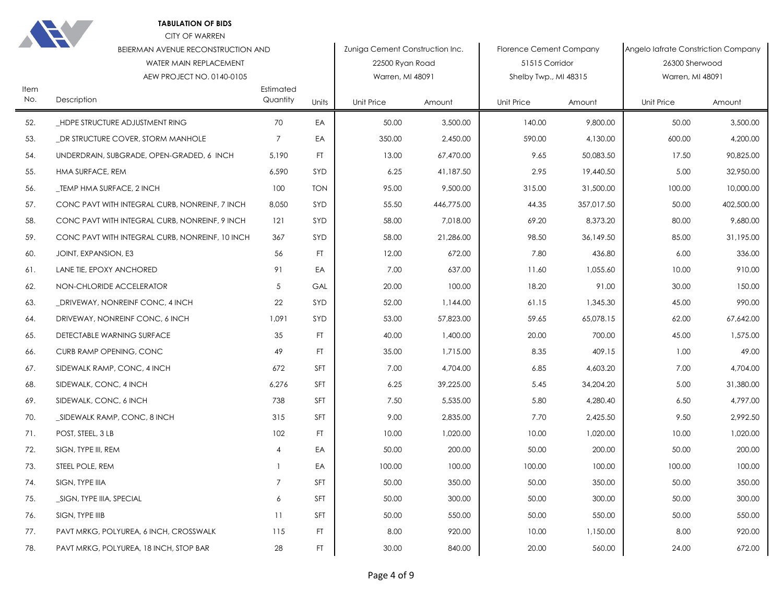| Item | BEIERMAN AVENUE RECONSTRUCTION AND<br>WATER MAIN REPLACEMENT<br>AEW PROJECT NO. 0140-0105 | Zuniga Cement Construction Inc.<br>Florence Cement Company<br>22500 Ryan Road<br>51515 Corridor<br>Warren, MI 48091<br>Shelby Twp., MI 48315<br>Estimated |            | Angelo lafrate Constriction Company<br>26300 Sherwood<br>Warren, MI 48091 |            |                   |            |                   |            |
|------|-------------------------------------------------------------------------------------------|-----------------------------------------------------------------------------------------------------------------------------------------------------------|------------|---------------------------------------------------------------------------|------------|-------------------|------------|-------------------|------------|
| No.  | Description                                                                               | Quantity                                                                                                                                                  | Units      | <b>Unit Price</b>                                                         | Amount     | <b>Unit Price</b> | Amount     | <b>Unit Price</b> | Amount     |
| 52.  | _HDPE STRUCTURE ADJUSTMENT RING                                                           | 70                                                                                                                                                        | EA         | 50.00                                                                     | 3,500.00   | 140.00            | 9,800.00   | 50.00             | 3,500.00   |
| 53.  | _DR STRUCTURE COVER, STORM MANHOLE                                                        | $\overline{7}$                                                                                                                                            | EA         | 350.00                                                                    | 2,450.00   | 590.00            | 4,130.00   | 600.00            | 4,200.00   |
| 54.  | UNDERDRAIN, SUBGRADE, OPEN-GRADED, 6 INCH                                                 | 5,190                                                                                                                                                     | FT.        | 13.00                                                                     | 67,470.00  | 9.65              | 50,083.50  | 17.50             | 90,825.00  |
| 55.  | HMA SURFACE, REM                                                                          | 6,590                                                                                                                                                     | SYD        | 6.25                                                                      | 41,187.50  | 2.95              | 19,440.50  | 5.00              | 32,950.00  |
| 56.  | _TEMP HMA SURFACE, 2 INCH                                                                 | 100                                                                                                                                                       | <b>TON</b> | 95.00                                                                     | 9,500.00   | 315.00            | 31,500.00  | 100.00            | 10,000.00  |
| 57.  | CONC PAVT WITH INTEGRAL CURB, NONREINF, 7 INCH                                            | 8,050                                                                                                                                                     | SYD        | 55.50                                                                     | 446,775.00 | 44.35             | 357,017.50 | 50.00             | 402,500.00 |
| 58.  | CONC PAVT WITH INTEGRAL CURB, NONREINF, 9 INCH                                            | 121                                                                                                                                                       | SYD        | 58.00                                                                     | 7,018.00   | 69.20             | 8,373.20   | 80.00             | 9,680.00   |
| 59.  | CONC PAVT WITH INTEGRAL CURB, NONREINF, 10 INCH                                           | 367                                                                                                                                                       | SYD        | 58.00                                                                     | 21,286.00  | 98.50             | 36,149.50  | 85.00             | 31,195.00  |
| 60.  | JOINT, EXPANSION, E3                                                                      | 56                                                                                                                                                        | FT.        | 12.00                                                                     | 672.00     | 7.80              | 436.80     | 6.00              | 336.00     |
| 61.  | LANE TIE, EPOXY ANCHORED                                                                  | 91                                                                                                                                                        | EA         | 7.00                                                                      | 637.00     | 11.60             | 1,055.60   | 10.00             | 910.00     |
| 62.  | NON-CHLORIDE ACCELERATOR                                                                  | 5                                                                                                                                                         | GAL        | 20.00                                                                     | 100.00     | 18.20             | 91.00      | 30.00             | 150.00     |
| 63.  | _DRIVEWAY, NONREINF CONC, 4 INCH                                                          | 22                                                                                                                                                        | SYD        | 52.00                                                                     | 1,144.00   | 61.15             | 1,345.30   | 45.00             | 990.00     |
| 64.  | DRIVEWAY, NONREINF CONC, 6 INCH                                                           | 1,091                                                                                                                                                     | SYD        | 53.00                                                                     | 57,823.00  | 59.65             | 65,078.15  | 62.00             | 67,642.00  |
| 65.  | DETECTABLE WARNING SURFACE                                                                | 35                                                                                                                                                        | FT.        | 40.00                                                                     | 1,400.00   | 20.00             | 700.00     | 45.00             | 1,575.00   |
| 66.  | CURB RAMP OPENING, CONC                                                                   | 49                                                                                                                                                        | FT.        | 35.00                                                                     | 1,715.00   | 8.35              | 409.15     | 1.00              | 49.00      |
| 67.  | SIDEWALK RAMP, CONC, 4 INCH                                                               | 672                                                                                                                                                       | SFT        | 7.00                                                                      | 4,704.00   | 6.85              | 4,603.20   | 7.00              | 4,704.00   |
| 68.  | SIDEWALK, CONC, 4 INCH                                                                    | 6,276                                                                                                                                                     | SFT        | 6.25                                                                      | 39,225.00  | 5.45              | 34,204.20  | 5.00              | 31,380.00  |
| 69.  | SIDEWALK, CONC, 6 INCH                                                                    | 738                                                                                                                                                       | SFT        | 7.50                                                                      | 5,535.00   | 5.80              | 4,280.40   | 6.50              | 4,797.00   |
| 70.  | _SIDEWALK RAMP, CONC, 8 INCH                                                              | 315                                                                                                                                                       | SFT        | 9.00                                                                      | 2,835.00   | 7.70              | 2,425.50   | 9.50              | 2,992.50   |
| 71.  | POST, STEEL, 3 LB                                                                         | 102                                                                                                                                                       | FT.        | 10.00                                                                     | 1.020.00   | 10.00             | 1,020.00   | 10.00             | 1,020.00   |
| 72.  | SIGN, TYPE III, REM                                                                       | $\overline{4}$                                                                                                                                            | EA         | 50.00                                                                     | 200.00     | 50.00             | 200.00     | 50.00             | 200.00     |
| 73.  | STEEL POLE, REM                                                                           | $\mathbf{1}$                                                                                                                                              | EA         | 100.00                                                                    | 100.00     | 100.00            | 100.00     | 100.00            | 100.00     |
| 74.  | SIGN, TYPE IIIA                                                                           | $\overline{7}$                                                                                                                                            | SFT        | 50.00                                                                     | 350.00     | 50.00             | 350.00     | 50.00             | 350.00     |
| 75.  | _SIGN, TYPE IIIA, SPECIAL                                                                 | 6                                                                                                                                                         | SFT        | 50.00                                                                     | 300.00     | 50.00             | 300.00     | 50.00             | 300.00     |
| 76.  | SIGN, TYPE IIIB                                                                           | 11                                                                                                                                                        | <b>SFT</b> | 50.00                                                                     | 550.00     | 50.00             | 550.00     | 50.00             | 550.00     |
| 77.  | PAVT MRKG, POLYUREA, 6 INCH, CROSSWALK                                                    | 115                                                                                                                                                       | FT.        | 8.00                                                                      | 920.00     | 10.00             | 1,150.00   | 8.00              | 920.00     |
| 78.  | PAVT MRKG, POLYUREA, 18 INCH, STOP BAR                                                    | 28                                                                                                                                                        | FT.        | 30.00                                                                     | 840.00     | 20.00             | 560.00     | 24.00             | 672.00     |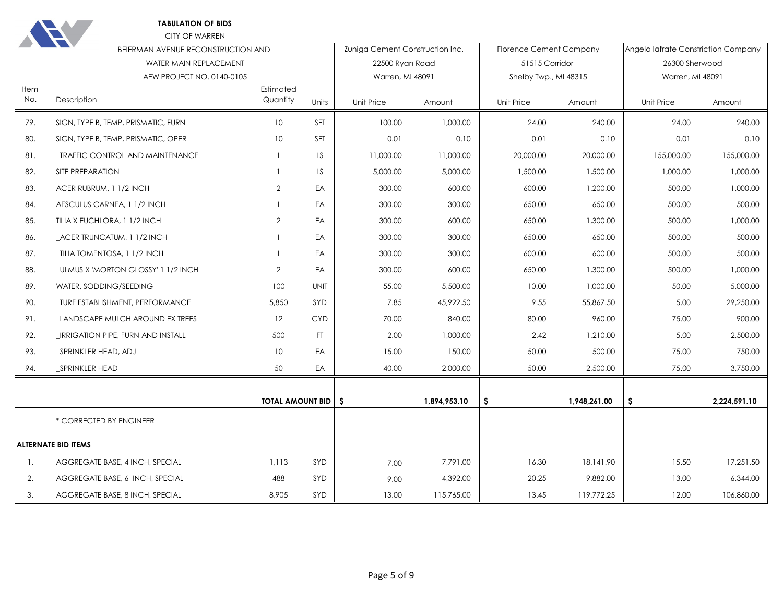| Item | <b>TELEVISION</b><br>BEIERMAN AVENUE RECONSTRUCTION AND<br>WATER MAIN REPLACEMENT<br>AEW PROJECT NO. 0140-0105 | Estimated                    |             | Zuniga Cement Construction Inc.<br>22500 Ryan Road<br>Warren, MI 48091 |              | <b>Florence Cement Company</b><br>51515 Corridor<br>Shelby Twp., MI 48315 |              | Angelo lafrate Constriction Company<br>26300 Sherwood<br>Warren, MI 48091 |              |
|------|----------------------------------------------------------------------------------------------------------------|------------------------------|-------------|------------------------------------------------------------------------|--------------|---------------------------------------------------------------------------|--------------|---------------------------------------------------------------------------|--------------|
| No.  | Description                                                                                                    | Quantity                     | Units       | Unit Price                                                             | Amount       | Unit Price                                                                | Amount       | Unit Price                                                                | Amount       |
| 79.  | SIGN, TYPE B, TEMP, PRISMATIC, FURN                                                                            | 10                           | SFT         | 100.00                                                                 | 1,000.00     | 24.00                                                                     | 240.00       | 24.00                                                                     | 240.00       |
| 80.  | SIGN, TYPE B, TEMP, PRISMATIC, OPER                                                                            | 10                           | SFT         | 0.01                                                                   | 0.10         | 0.01                                                                      | 0.10         | 0.01                                                                      | 0.10         |
| 81.  | _TRAFFIC CONTROL AND MAINTENANCE                                                                               |                              | LS          | 11,000.00                                                              | 11,000.00    | 20,000.00                                                                 | 20,000.00    | 155,000.00                                                                | 155,000.00   |
| 82.  | SITE PREPARATION                                                                                               |                              | LS.         | 5,000.00                                                               | 5,000.00     | 1,500.00                                                                  | 1,500.00     | 1,000.00                                                                  | 1,000.00     |
| 83.  | ACER RUBRUM, 1 1/2 INCH                                                                                        | $\overline{2}$               | EA          | 300.00                                                                 | 600.00       | 600.00                                                                    | 1,200.00     | 500.00                                                                    | 1,000.00     |
| 84.  | AESCULUS CARNEA, 1 1/2 INCH                                                                                    |                              | EA          | 300.00                                                                 | 300.00       | 650.00                                                                    | 650.00       | 500.00                                                                    | 500.00       |
| 85.  | TILIA X EUCHLORA, 1 1/2 INCH                                                                                   | $\overline{2}$               | EA          | 300.00                                                                 | 600.00       | 650.00                                                                    | 1,300.00     | 500.00                                                                    | 1,000.00     |
| 86.  | _ACER TRUNCATUM, 1 1/2 INCH                                                                                    |                              | EA          | 300.00                                                                 | 300.00       | 650.00                                                                    | 650.00       | 500.00                                                                    | 500.00       |
| 87.  | TILIA TOMENTOSA, 1 1/2 INCH                                                                                    |                              | EA          | 300.00                                                                 | 300.00       | 600.00                                                                    | 600.00       | 500.00                                                                    | 500.00       |
| 88.  | _ULMUS X 'MORTON GLOSSY' 1 1/2 INCH                                                                            | $\overline{2}$               | EA          | 300.00                                                                 | 600.00       | 650.00                                                                    | 1,300.00     | 500.00                                                                    | 1,000.00     |
| 89.  | WATER, SODDING/SEEDING                                                                                         | 100                          | <b>UNIT</b> | 55.00                                                                  | 5,500.00     | 10.00                                                                     | 1,000.00     | 50.00                                                                     | 5,000.00     |
| 90.  | _TURF ESTABLISHMENT, PERFORMANCE                                                                               | 5,850                        | SYD         | 7.85                                                                   | 45,922.50    | 9.55                                                                      | 55,867.50    | 5.00                                                                      | 29,250.00    |
| 91.  | LANDSCAPE MULCH AROUND EX TREES                                                                                | 12                           | <b>CYD</b>  | 70.00                                                                  | 840.00       | 80.00                                                                     | 960.00       | 75.00                                                                     | 900.00       |
| 92.  | IRRIGATION PIPE, FURN AND INSTALL                                                                              | 500                          | FT.         | 2.00                                                                   | 1,000.00     | 2.42                                                                      | 1,210.00     | 5.00                                                                      | 2,500.00     |
| 93.  | SPRINKLER HEAD, ADJ                                                                                            | 10                           | EA          | 15.00                                                                  | 150.00       | 50.00                                                                     | 500.00       | 75.00                                                                     | 750.00       |
| 94.  | _SPRINKLER HEAD                                                                                                | 50                           | EA          | 40.00                                                                  | 2,000.00     | 50.00                                                                     | 2,500.00     | 75.00                                                                     | 3,750.00     |
|      |                                                                                                                |                              |             |                                                                        |              |                                                                           |              |                                                                           |              |
|      |                                                                                                                | <b>TOTAL AMOUNT BID   \$</b> |             |                                                                        | 1,894,953.10 | S.                                                                        | 1,948,261.00 | \$.                                                                       | 2,224,591.10 |
|      | * CORRECTED BY ENGINEER                                                                                        |                              |             |                                                                        |              |                                                                           |              |                                                                           |              |
|      | <b>ALTERNATE BID ITEMS</b>                                                                                     |                              |             |                                                                        |              |                                                                           |              |                                                                           |              |
| 1.   | AGGREGATE BASE, 4 INCH, SPECIAL                                                                                | 1,113                        | SYD         | 7.00                                                                   | 7,791.00     | 16.30                                                                     | 18,141.90    | 15.50                                                                     | 17,251.50    |
| 2.   | AGGREGATE BASE, 6 INCH, SPECIAL                                                                                | 488                          | SYD         | 9.00                                                                   | 4,392.00     | 20.25                                                                     | 9,882.00     | 13.00                                                                     | 6,344.00     |
| 3.   | AGGREGATE BASE, 8 INCH, SPECIAL                                                                                | 8,905                        | SYD         | 13.00                                                                  | 115,765.00   | 13.45                                                                     | 119,772.25   | 12.00                                                                     | 106,860.00   |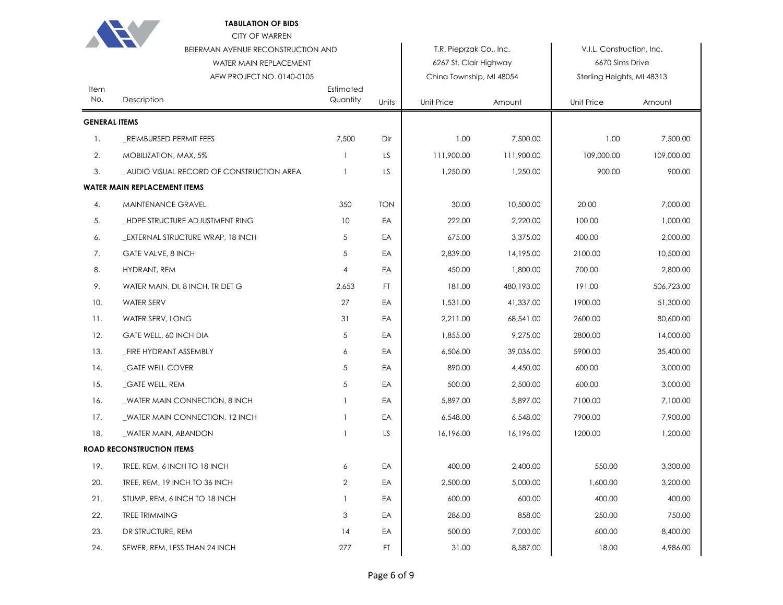|                      | <b>TABULATION OF BIDS</b><br><b>CITY OF WARREN</b> |                       |            |                          |            |                            |            |
|----------------------|----------------------------------------------------|-----------------------|------------|--------------------------|------------|----------------------------|------------|
|                      | BEIERMAN AVENUE RECONSTRUCTION AND                 |                       |            | T.R. Pieprzak Co., Inc.  |            | V.I.L. Construction, Inc.  |            |
|                      | WATER MAIN REPLACEMENT                             |                       |            | 6267 St. Clair Highway   |            | 6670 Sims Drive            |            |
|                      | AEW PROJECT NO. 0140-0105                          |                       |            | China Township, MI 48054 |            | Sterling Heights, MI 48313 |            |
| Item<br>No.          | Description                                        | Estimated<br>Quantity | Units      | Unit Price               | Amount     | <b>Unit Price</b>          | Amount     |
| <b>GENERAL ITEMS</b> |                                                    |                       |            |                          |            |                            |            |
| 1.                   | REIMBURSED PERMIT FEES                             | 7,500                 | Dlr        | 1.00                     | 7,500.00   | 1.00                       | 7,500.00   |
| 2.                   | MOBILIZATION, MAX, 5%                              | 1                     | LS         | 111,900.00               | 111,900.00 | 109,000.00                 | 109,000.00 |
| 3.                   | _AUDIO VISUAL RECORD OF CONSTRUCTION AREA          | $\mathbf{1}$          | LS         | 1,250.00                 | 1,250.00   | 900.00                     | 900.00     |
|                      | <b>WATER MAIN REPLACEMENT ITEMS</b>                |                       |            |                          |            |                            |            |
| 4.                   | MAINTENANCE GRAVEL                                 | 350                   | <b>TON</b> | 30.00                    | 10,500.00  | 20.00                      | 7,000.00   |
| 5.                   | HDPE STRUCTURE ADJUSTMENT RING                     | 10                    | EA         | 222.00                   | 2,220.00   | 100.00                     | 1,000.00   |
| 6.                   | _EXTERNAL STRUCTURE WRAP, 18 INCH                  | 5                     | EA         | 675.00                   | 3,375.00   | 400.00                     | 2,000.00   |
| 7.                   | <b>GATE VALVE, 8 INCH</b>                          | 5                     | EA         | 2,839.00                 | 14,195.00  | 2100.00                    | 10,500.00  |
| 8.                   | <b>HYDRANT, REM</b>                                | 4                     | EA         | 450.00                   | 1,800.00   | 700.00                     | 2,800.00   |
| 9.                   | WATER MAIN, DI, 8 INCH, TR DET G                   | 2,653                 | FT.        | 181.00                   | 480,193.00 | 191.00                     | 506,723.00 |
| 10.                  | <b>WATER SERV</b>                                  | 27                    | EA         | 1,531.00                 | 41,337.00  | 1900.00                    | 51,300.00  |
| 11.                  | WATER SERV, LONG                                   | 31                    | EA         | 2,211.00                 | 68,541.00  | 2600.00                    | 80,600.00  |
| 12.                  | GATE WELL, 60 INCH DIA                             | 5                     | EA         | 1,855.00                 | 9,275.00   | 2800.00                    | 14,000.00  |
| 13.                  | FIRE HYDRANT ASSEMBLY                              | 6                     | EA         | 6,506.00                 | 39,036.00  | 5900.00                    | 35,400.00  |
| 14.                  | _GATE WELL COVER                                   | 5                     | EA         | 890.00                   | 4,450.00   | 600.00                     | 3,000.00   |
| 15.                  | _GATE WELL, REM                                    | 5                     | EA         | 500.00                   | 2,500.00   | 600.00                     | 3,000.00   |
| 16.                  | WATER MAIN CONNECTION, 8 INCH                      | 1                     | EA         | 5,897.00                 | 5,897.00   | 7100.00                    | 7,100.00   |
| 17.                  | WATER MAIN CONNECTION, 12 INCH                     |                       | EA         | 6,548.00                 | 6,548.00   | 7900.00                    | 7,900.00   |
| 18.                  | _WATER MAIN, ABANDON                               |                       | LS         | 16,196.00                | 16,196.00  | 1200.00                    | 1,200.00   |
|                      | <b>ROAD RECONSTRUCTION ITEMS</b>                   |                       |            |                          |            |                            |            |
| 19.                  | TREE, REM, 6 INCH TO 18 INCH                       | 6                     | EA         | 400.00                   | 2,400.00   | 550.00                     | 3,300.00   |
| 20.                  | TREE, REM, 19 INCH TO 36 INCH                      | 2                     | EA         | 2,500.00                 | 5,000.00   | 1,600.00                   | 3,200.00   |
| 21.                  | STUMP, REM, 6 INCH TO 18 INCH                      |                       | EA         | 600.00                   | 600.00     | 400.00                     | 400.00     |
| 22.                  | TREE TRIMMING                                      | 3                     | EA         | 286.00                   | 858.00     | 250.00                     | 750.00     |
| 23.                  | DR STRUCTURE, REM                                  | 14                    | EA         | 500.00                   | 7,000.00   | 600.00                     | 8,400.00   |
| 24.                  | SEWER, REM, LESS THAN 24 INCH                      | 277                   | FT         | 31.00                    | 8,587.00   | 18.00                      | 4,986.00   |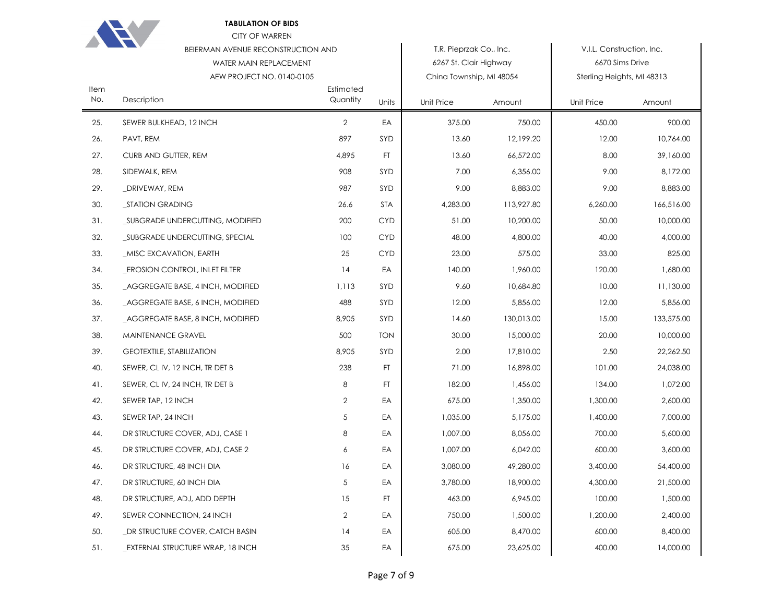|             | <b>TABULATION OF BIDS</b><br><b>CITY OF WARREN</b> |                       |            |                          |            |                            |            |
|-------------|----------------------------------------------------|-----------------------|------------|--------------------------|------------|----------------------------|------------|
|             | BEIERMAN AVENUE RECONSTRUCTION AND                 |                       |            | T.R. Pieprzak Co., Inc.  |            | V.I.L. Construction, Inc.  |            |
|             | WATER MAIN REPLACEMENT                             |                       |            | 6267 St. Clair Highway   |            | 6670 Sims Drive            |            |
|             | AEW PROJECT NO. 0140-0105                          |                       |            | China Township, MI 48054 |            | Sterling Heights, MI 48313 |            |
| Item<br>No. | Description                                        | Estimated<br>Quantity | Units      | Unit Price               | Amount     | Unit Price                 | Amount     |
| 25.         | SEWER BULKHEAD, 12 INCH                            | $\overline{2}$        | EA         | 375.00                   | 750.00     | 450.00                     | 900.00     |
| 26.         | PAVT, REM                                          | 897                   | SYD        | 13.60                    | 12,199.20  | 12.00                      | 10,764.00  |
| 27.         | CURB AND GUTTER, REM                               | 4,895                 | FT.        | 13.60                    | 66,572.00  | 8.00                       | 39,160.00  |
| 28.         | SIDEWALK, REM                                      | 908                   | SYD        | 7.00                     | 6,356.00   | 9.00                       | 8,172.00   |
| 29.         | _DRIVEWAY, REM                                     | 987                   | SYD        | 9.00                     | 8,883.00   | 9.00                       | 8,883.00   |
| 30.         | _STATION GRADING                                   | 26.6                  | <b>STA</b> | 4,283.00                 | 113,927.80 | 6,260.00                   | 166,516.00 |
| 31.         | _SUBGRADE UNDERCUTTING, MODIFIED                   | 200                   | <b>CYD</b> | 51.00                    | 10,200.00  | 50.00                      | 10,000.00  |
| 32.         | _SUBGRADE UNDERCUTTING, SPECIAL                    | 100                   | <b>CYD</b> | 48.00                    | 4,800.00   | 40.00                      | 4,000.00   |
| 33.         | _MISC EXCAVATION, EARTH                            | 25                    | <b>CYD</b> | 23.00                    | 575.00     | 33.00                      | 825.00     |
| 34.         | <b>EROSION CONTROL, INLET FILTER</b>               | 14                    | EA         | 140.00                   | 1,960.00   | 120.00                     | 1,680.00   |
| 35.         | _AGGREGATE BASE, 4 INCH, MODIFIED                  | 1,113                 | SYD        | 9.60                     | 10,684.80  | 10.00                      | 11,130.00  |
| 36.         | _AGGREGATE BASE, 6 INCH, MODIFIED                  | 488                   | SYD        | 12.00                    | 5,856.00   | 12.00                      | 5,856.00   |
| 37.         | _AGGREGATE BASE, 8 INCH, MODIFIED                  | 8,905                 | SYD        | 14.60                    | 130,013.00 | 15.00                      | 133,575.00 |
| 38.         | MAINTENANCE GRAVEL                                 | 500                   | <b>TON</b> | 30.00                    | 15,000.00  | 20.00                      | 10,000.00  |
| 39.         | <b>GEOTEXTILE, STABILIZATION</b>                   | 8,905                 | SYD        | 2.00                     | 17,810.00  | 2.50                       | 22,262.50  |
| 40.         | SEWER, CLIV, 12 INCH, TR DET B                     | 238                   | FT.        | 71.00                    | 16,898.00  | 101.00                     | 24,038.00  |
| 41.         | SEWER, CL IV, 24 INCH, TR DET B                    | 8                     | FT.        | 182.00                   | 1,456.00   | 134.00                     | 1,072.00   |
| 42.         | SEWER TAP, 12 INCH                                 | $\overline{2}$        | EA         | 675.00                   | 1,350.00   | 1,300.00                   | 2,600.00   |
| 43.         | SEWER TAP, 24 INCH                                 | 5                     | EA         | 1,035.00                 | 5,175.00   | 1,400.00                   | 7,000.00   |
| 44.         | DR STRUCTURE COVER, ADJ, CASE 1                    | 8                     | EA         | 1,007.00                 | 8,056.00   | 700.00                     | 5,600.00   |
| 45.         | DR STRUCTURE COVER, ADJ, CASE 2                    | 6                     | EA         | 1,007.00                 | 6,042.00   | 600.00                     | 3,600.00   |
| 46.         | DR STRUCTURE, 48 INCH DIA                          | 16                    | EA         | 3,080.00                 | 49,280.00  | 3,400.00                   | 54,400.00  |
| 47.         | DR STRUCTURE, 60 INCH DIA                          | 5                     | EA         | 3,780.00                 | 18,900.00  | 4,300.00                   | 21,500.00  |
| 48.         | DR STRUCTURE, ADJ, ADD DEPTH                       | 15                    | FT.        | 463.00                   | 6,945.00   | 100.00                     | 1,500.00   |
| 49.         | SEWER CONNECTION, 24 INCH                          | $\overline{2}$        | EA         | 750.00                   | 1,500.00   | 1,200.00                   | 2,400.00   |
| 50.         | DR STRUCTURE COVER, CATCH BASIN                    | 14                    | EA         | 605.00                   | 8,470.00   | 600.00                     | 8,400.00   |
| 51.         | _EXTERNAL STRUCTURE WRAP, 18 INCH                  | 35                    | EA         | 675.00                   | 23,625.00  | 400.00                     | 14,000.00  |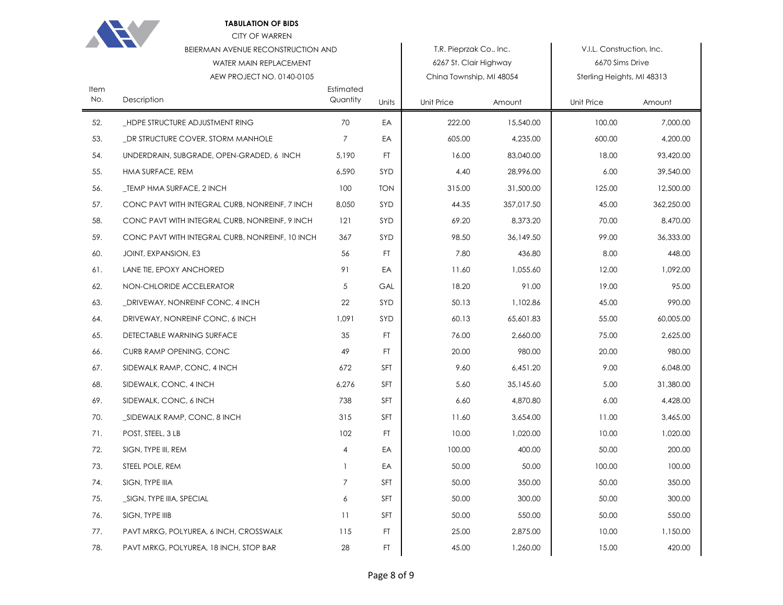|             | <b>TABULATION OF BIDS</b><br><b>CITY OF WARREN</b> |                       |            |                          |            |                            |            |
|-------------|----------------------------------------------------|-----------------------|------------|--------------------------|------------|----------------------------|------------|
|             | <b>BEIERMAN AVENUE RECONSTRUCTION AND</b>          |                       |            | T.R. Pieprzak Co., Inc.  |            | V.I.L. Construction, Inc.  |            |
|             | WATER MAIN REPLACEMENT                             |                       |            | 6267 St. Clair Highway   |            | 6670 Sims Drive            |            |
|             | AEW PROJECT NO. 0140-0105                          |                       |            | China Township, MI 48054 |            | Sterling Heights, MI 48313 |            |
| Item<br>No. | Description                                        | Estimated<br>Quantity | Units      | Unit Price               | Amount     | Unit Price                 | Amount     |
| 52.         | _HDPE STRUCTURE ADJUSTMENT RING                    | 70                    | EA         | 222.00                   | 15,540.00  | 100.00                     | 7.000.00   |
| 53.         | DR STRUCTURE COVER, STORM MANHOLE                  | 7                     | EA         | 605.00                   | 4,235.00   | 600.00                     | 4,200.00   |
| 54.         | UNDERDRAIN, SUBGRADE, OPEN-GRADED, 6 INCH          | 5,190                 | FT.        | 16.00                    | 83,040.00  | 18.00                      | 93,420.00  |
| 55.         | HMA SURFACE, REM                                   | 6,590                 | SYD        | 4.40                     | 28,996.00  | 6.00                       | 39,540.00  |
| 56.         | _TEMP HMA SURFACE, 2 INCH                          | 100                   | <b>TON</b> | 315.00                   | 31,500.00  | 125.00                     | 12,500.00  |
| 57.         | CONC PAVT WITH INTEGRAL CURB, NONREINF, 7 INCH     | 8,050                 | SYD        | 44.35                    | 357,017.50 | 45.00                      | 362,250.00 |
| 58.         | CONC PAVT WITH INTEGRAL CURB, NONREINF, 9 INCH     | 121                   | SYD        | 69.20                    | 8,373.20   | 70.00                      | 8,470.00   |
| 59.         | CONC PAVT WITH INTEGRAL CURB, NONREINF, 10 INCH    | 367                   | SYD        | 98.50                    | 36,149.50  | 99.00                      | 36,333.00  |
| 60.         | JOINT, EXPANSION, E3                               | 56                    | FT.        | 7.80                     | 436.80     | 8.00                       | 448.00     |
| 61.         | LANE TIE, EPOXY ANCHORED                           | 91                    | EA         | 11.60                    | 1,055.60   | 12.00                      | 1,092.00   |
| 62.         | NON-CHLORIDE ACCELERATOR                           | 5                     | GAL        | 18.20                    | 91.00      | 19.00                      | 95.00      |
| 63.         | _DRIVEWAY, NONREINF CONC, 4 INCH                   | 22                    | SYD        | 50.13                    | 1,102.86   | 45.00                      | 990.00     |
| 64.         | DRIVEWAY, NONREINF CONC, 6 INCH                    | 1,091                 | SYD        | 60.13                    | 65,601.83  | 55.00                      | 60,005.00  |
| 65.         | DETECTABLE WARNING SURFACE                         | 35                    | FT.        | 76.00                    | 2,660.00   | 75.00                      | 2,625.00   |
| 66.         | CURB RAMP OPENING, CONC                            | 49                    | FT.        | 20.00                    | 980.00     | 20.00                      | 980.00     |
| 67.         | SIDEWALK RAMP, CONC, 4 INCH                        | 672                   | <b>SFT</b> | 9.60                     | 6,451.20   | 9.00                       | 6,048.00   |
| 68.         | SIDEWALK, CONC, 4 INCH                             | 6,276                 | SFT        | 5.60                     | 35,145.60  | 5.00                       | 31,380.00  |
| 69.         | SIDEWALK, CONC, 6 INCH                             | 738                   | <b>SFT</b> | 6.60                     | 4,870.80   | 6.00                       | 4,428.00   |
| 70.         | _SIDEWALK RAMP, CONC, 8 INCH                       | 315                   | <b>SFT</b> | 11.60                    | 3,654.00   | 11.00                      | 3,465.00   |
| 71.         | POST, STEEL, 3 LB                                  | 102                   | FT.        | 10.00                    | 1,020.00   | 10.00                      | 1,020.00   |
| 72.         | SIGN, TYPE III, REM                                | 4                     | EA         | 100.00                   | 400.00     | 50.00                      | 200.00     |
| 73.         | STEEL POLE, REM                                    | $\mathbf{1}$          | EA         | 50.00                    | 50.00      | 100.00                     | 100.00     |
| 74.         | SIGN, TYPE IIIA                                    | 7                     | <b>SFT</b> | 50.00                    | 350.00     | 50.00                      | 350.00     |
| 75.         | _SIGN, TYPE IIIA, SPECIAL                          | 6                     | SFT        | 50.00                    | 300.00     | 50.00                      | 300.00     |
| 76.         | SIGN, TYPE IIIB                                    | 11                    | SFT        | 50.00                    | 550.00     | 50.00                      | 550.00     |
| 77.         | PAVT MRKG, POLYUREA, 6 INCH, CROSSWALK             | 115                   | FT.        | 25.00                    | 2,875.00   | 10.00                      | 1,150.00   |
| 78.         | PAVT MRKG, POLYUREA, 18 INCH, STOP BAR             | 28                    | FT.        | 45.00                    | 1,260.00   | 15.00                      | 420.00     |
|             |                                                    |                       |            |                          |            |                            |            |